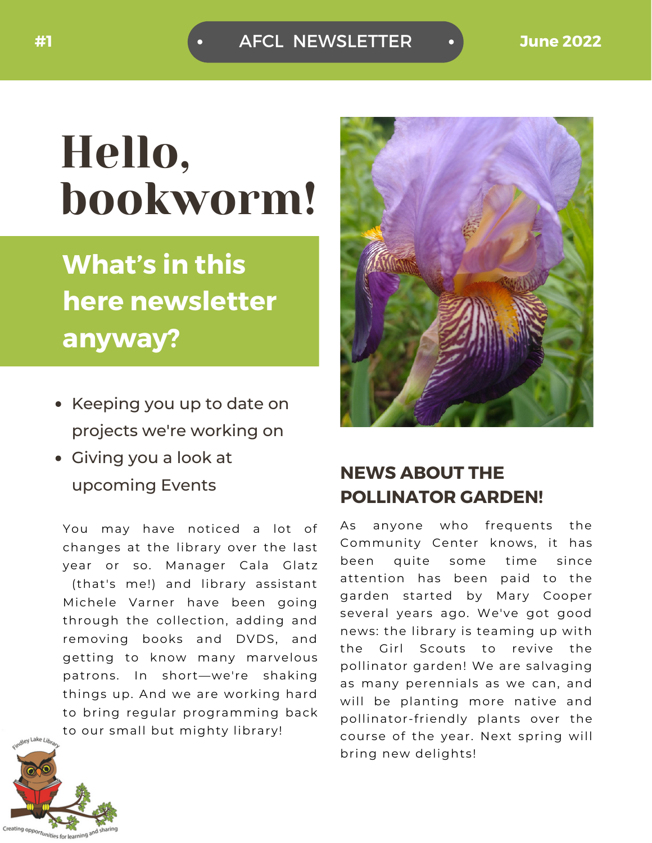AFCL NEWSLETTER **#1 June 2022**

## Hello, bookworm!

### **What's in this here newsletter anyway?**

- Keeping you up to date on projects we're working on
- Giving you a look at upcoming Events

You may have noticed a lot of changes at the library over the last year or so. Manager Cala Glatz (that's me!) and library assistant Michele Varner have been going through the collection, adding and removing books and DVDS, and getting to know many marvelous patrons. In short—we're shaking things up. And we are working hard to bring regular programming back to our small but mighty library!



### **NEWS ABOUT THE POLLINATOR GARDEN!**

As anyone who frequents the Community Center knows, it has been quite some time since attention has been paid to the garden started by Mary Cooper several years ago. We've got good news: the library is teaming up with the Girl Scouts to revive the pollinator garden! We are salvaging as many perennials as we can, and will be planting more native and pollinator-friendly plants over the course of the year. Next spring will bring new delights!